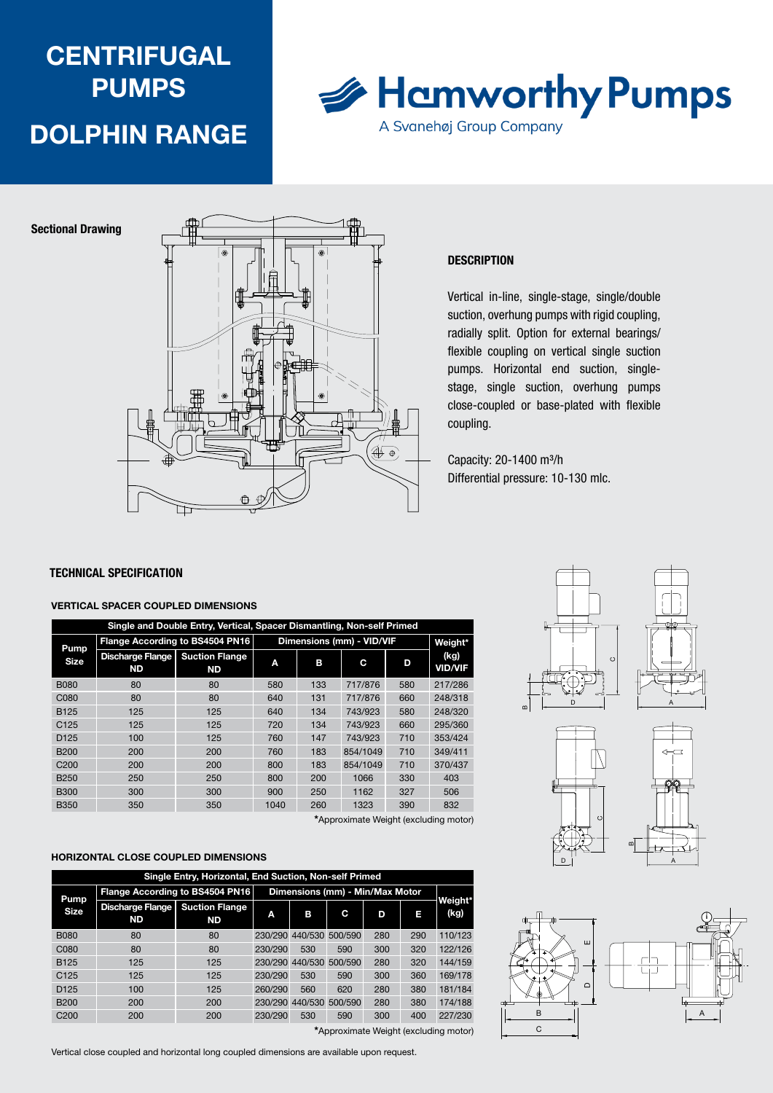# **CENTRIFUGAL PUMPS** DOLPHIN RANGE



Sectional Drawing



#### **DESCRIPTION**

Vertical in-line, single-stage, single/double suction, overhung pumps with rigid coupling, radially split. Option for external bearings/ flexible coupling on vertical single suction pumps. Horizontal end suction, singlestage, single suction, overhung pumps close-coupled or base-plated with flexible coupling.

Capacity: 20-1400 m<sup>3</sup>/h Differential pressure: 10-130 mlc.

#### TECHNICAL SPECIFICATION

#### VERTICAL SPACER COUPLED DIMENSIONS

| Single and Double Entry, Vertical, Spacer Dismantling, Non-self Primed |                     |                                 |                                    |                           |         |          |     |                        |
|------------------------------------------------------------------------|---------------------|---------------------------------|------------------------------------|---------------------------|---------|----------|-----|------------------------|
|                                                                        | Pump<br><b>Size</b> | Flange According to BS4504 PN16 |                                    | Dimensions (mm) - VID/VIF | Weight* |          |     |                        |
|                                                                        |                     | Discharge Flange<br><b>ND</b>   | <b>Suction Flange</b><br><b>ND</b> | Α                         | в       | С        | D   | (kg)<br><b>VID/VIF</b> |
|                                                                        | <b>B080</b>         | 80                              | 80                                 | 580                       | 133     | 717/876  | 580 | 217/286                |
|                                                                        | C080                | 80                              | 80                                 | 640                       | 131     | 717/876  | 660 | 248/318                |
|                                                                        | <b>B125</b>         | 125                             | 125                                | 640                       | 134     | 743/923  | 580 | 248/320                |
|                                                                        | C <sub>125</sub>    | 125                             | 125                                | 720                       | 134     | 743/923  | 660 | 295/360                |
|                                                                        | D <sub>125</sub>    | 100                             | 125                                | 760                       | 147     | 743/923  | 710 | 353/424                |
|                                                                        | <b>B200</b>         | 200                             | 200                                | 760                       | 183     | 854/1049 | 710 | 349/411                |
|                                                                        | C <sub>200</sub>    | 200                             | 200                                | 800                       | 183     | 854/1049 | 710 | 370/437                |
|                                                                        | <b>B250</b>         | 250                             | 250                                | 800                       | 200     | 1066     | 330 | 403                    |
|                                                                        | <b>B300</b>         | 300                             | 300                                | 900                       | 250     | 1162     | 327 | 506                    |
|                                                                        | <b>B350</b>         | 350                             | 350                                | 1040                      | 260     | 1323     | 390 | 832                    |
| <b>*</b> A a a constant to AAL to be forced collection of the          |                     |                                 |                                    |                           |         |          |     |                        |

\*Approximate Weight (excluding motor)

#### HORIZONTAL CLOSE COUPLED DIMENSIONS

| Single Entry, Horizontal, End Suction, Non-self Primed |                                      |                                    |                                 |                 |         |     |     |                 |
|--------------------------------------------------------|--------------------------------------|------------------------------------|---------------------------------|-----------------|---------|-----|-----|-----------------|
| Pump                                                   | Flange According to BS4504 PN16      |                                    | Dimensions (mm) - Min/Max Motor |                 |         |     |     |                 |
| Size                                                   | <b>Discharge Flange</b><br><b>ND</b> | <b>Suction Flange</b><br><b>ND</b> | Α                               | в               | C       | D   | п   | Weight*<br>(kg) |
| <b>B080</b>                                            | 80                                   | 80                                 |                                 | 230/290 440/530 | 500/590 | 280 | 290 | 110/123         |
| C <sub>080</sub>                                       | 80                                   | 80                                 | 230/290                         | 530             | 590     | 300 | 320 | 122/126         |
| <b>B125</b>                                            | 125                                  | 125                                |                                 | 230/290 440/530 | 500/590 | 280 | 320 | 144/159         |
| C <sub>125</sub>                                       | 125                                  | 125                                | 230/290                         | 530             | 590     | 300 | 360 | 169/178         |
| D <sub>125</sub>                                       | 100                                  | 125                                | 260/290                         | 560             | 620     | 280 | 380 | 181/184         |
| <b>B200</b>                                            | 200                                  | 200                                |                                 | 230/290 440/530 | 500/590 | 280 | 380 | 174/188         |
| C <sub>200</sub>                                       | 200                                  | 200                                | 230/290                         | 530             | 590     | 300 | 400 | 227/230         |

\*Approximate Weight (excluding motor)

Vertical close coupled and horizontal long coupled dimensions are available upon request.